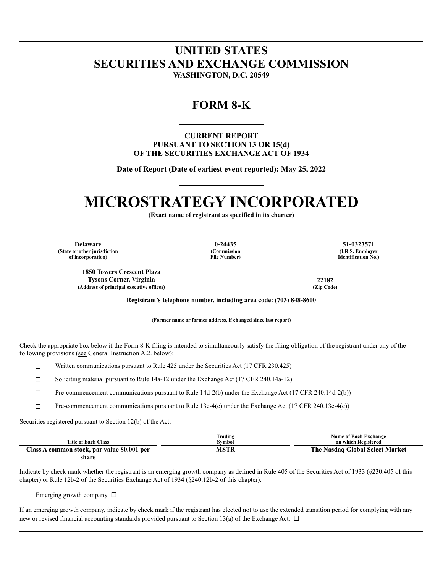## **UNITED STATES SECURITIES AND EXCHANGE COMMISSION**

**WASHINGTON, D.C. 20549**

### **FORM 8-K**

**CURRENT REPORT PURSUANT TO SECTION 13 OR 15(d) OF THE SECURITIES EXCHANGE ACT OF 1934**

**Date of Report (Date of earliest event reported): May 25, 2022**

# **MICROSTRATEGY INCORPORATED**

**(Exact name of registrant as specified in its charter)**

**Delaware 0-24435 51-0323571 (State or other jurisdiction of incorporation)**

**(Commission File Number)**

**(I.R.S. Employer Identification No.)**

**1850 Towers Crescent Plaza Tysons Corner, Virginia 22182**  $(Address of principal executive offices)$ 

**Registrant's telephone number, including area code: (703) 848-8600**

**(Former name or former address, if changed since last report)**

Check the appropriate box below if the Form 8-K filing is intended to simultaneously satisfy the filing obligation of the registrant under any of the following provisions (see General Instruction A.2. below):

 $\Box$  Written communications pursuant to Rule 425 under the Securities Act (17 CFR 230.425)

☐ Soliciting material pursuant to Rule 14a-12 under the Exchange Act (17 CFR 240.14a-12)

☐ Pre-commencement communications pursuant to Rule 14d-2(b) under the Exchange Act (17 CFR 240.14d-2(b))

☐ Pre-commencement communications pursuant to Rule 13e-4(c) under the Exchange Act (17 CFR 240.13e-4(c))

Securities registered pursuant to Section 12(b) of the Act:

| <b>Title of Each Class</b>                  | Trading<br>Svmbol | <b>Name of Each Exchange</b><br>on which Registered |  |
|---------------------------------------------|-------------------|-----------------------------------------------------|--|
| Class A common stock, par value \$0.001 per | MSTR              | The Nasdaq Global Select Market                     |  |

**share**

Indicate by check mark whether the registrant is an emerging growth company as defined in Rule 405 of the Securities Act of 1933 (§230.405 of this chapter) or Rule 12b-2 of the Securities Exchange Act of 1934 (§240.12b-2 of this chapter).

Emerging growth company  $\Box$ 

If an emerging growth company, indicate by check mark if the registrant has elected not to use the extended transition period for complying with any new or revised financial accounting standards provided pursuant to Section 13(a) of the Exchange Act.  $\Box$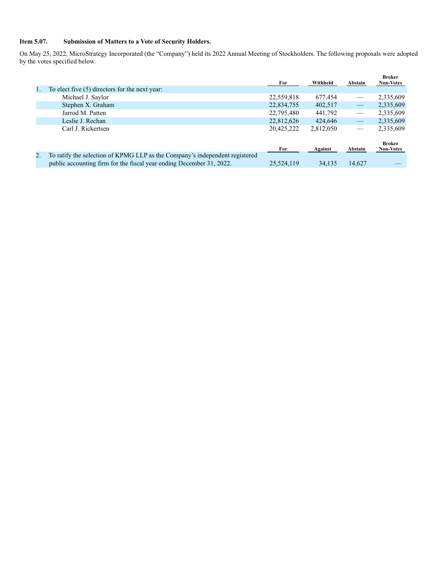### **Item 5.07. Submission of Matters to a Vote of Security Holders.**

On May 25, 2022, MicroStrategy Incorporated (the "Company") held its 2022 Annual Meeting of Stockholders. The following proposals were adopted by the votes specified below.

|                                                                             |            | Withheld  |                                 | <b>Broker</b><br><b>Non-Votes</b> |
|-----------------------------------------------------------------------------|------------|-----------|---------------------------------|-----------------------------------|
| To elect five (5) directors for the next year:                              |            |           |                                 |                                   |
| Michael J. Saylor                                                           | 22,559,818 | 677.454   |                                 | 2,335,609                         |
| Stephen X. Graham                                                           | 22,834,755 | 402,517   | ▅                               | 2,335,609                         |
| Jarrod M. Patten                                                            | 22,795,480 | 441,792   |                                 | 2,335,609                         |
| Leslie J. Rechan                                                            | 22,812,626 | 424,646   | $\overline{\phantom{m}}$        | 2,335,609                         |
| Carl J. Rickertsen                                                          | 20,425,222 | 2,812,050 | $\hspace{0.1mm}-\hspace{0.1mm}$ | 2,335,609                         |
|                                                                             |            |           |                                 |                                   |
|                                                                             | For        | Against   | Abstain                         | <b>Broker</b><br><b>Non-Votes</b> |
| To ratify the selection of KPMG LLP as the Company's independent registered |            |           |                                 |                                   |
| public accounting firm for the fiscal year ending December 31, 2022.        | 25,524,119 | 34,135    | 14,627                          |                                   |
|                                                                             |            | For       |                                 | Abstain                           |